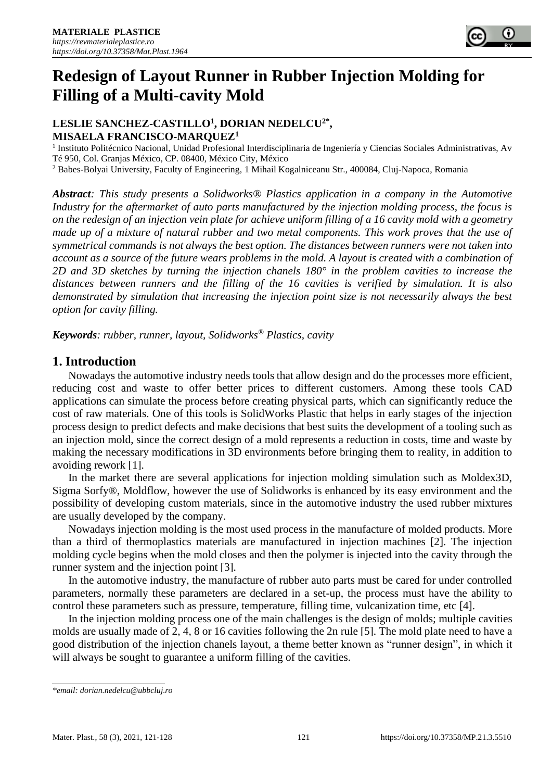# **Redesign of Layout Runner in Rubber Injection Molding for Filling of a Multi-cavity Mold**

## **LESLIE SANCHEZ-CASTILLO<sup>1</sup> , DORIAN NEDELCU2\* , MISAELA FRANCISCO-MARQUEZ<sup>1</sup>**

<sup>1</sup> Instituto Politécnico Nacional, Unidad Profesional Interdisciplinaria de Ingeniería y Ciencias Sociales Administrativas, Av Té 950, Col. Granjas México, CP. 08400, México City, México <sup>2</sup> Babes-Bolyai University, Faculty of Engineering, 1 Mihail Kogalniceanu Str., 400084, Cluj-Napoca, Romania

*Abstract: This study presents a Solidworks® Plastics application in a company in the Automotive Industry for the aftermarket of auto parts manufactured by the injection molding process, the focus is on the redesign of an injection vein plate for achieve uniform filling of a 16 cavity mold with a geometry made up of a mixture of natural rubber and two metal components. This work proves that the use of symmetrical commands is not always the best option. The distances between runners were not taken into account as a source of the future wears problems in the mold. A layout is created with a combination of 2D and 3D sketches by turning the injection chanels 180° in the problem cavities to increase the distances between runners and the filling of the 16 cavities is verified by simulation. It is also demonstrated by simulation that increasing the injection point size is not necessarily always the best option for cavity filling.*

*Keywords: rubber, runner, layout, Solidworks® Plastics, cavity*

## **1. Introduction**

Nowadays the automotive industry needs tools that allow design and do the processes more efficient, reducing cost and waste to offer better prices to different customers. Among these tools CAD applications can simulate the process before creating physical parts, which can significantly reduce the cost of raw materials. One of this tools is SolidWorks Plastic that helps in early stages of the injection process design to predict defects and make decisions that best suits the development of a tooling such as an injection mold, since the correct design of a mold represents a reduction in costs, time and waste by making the necessary modifications in 3D environments before bringing them to reality, in addition to avoiding rework [1].

In the market there are several applications for injection molding simulation such as Moldex3D, Sigma Sorfy®, Moldflow, however the use of Solidworks is enhanced by its easy environment and the possibility of developing custom materials, since in the automotive industry the used rubber mixtures are usually developed by the company.

Nowadays injection molding is the most used process in the manufacture of molded products. More than a third of thermoplastics materials are manufactured in injection machines [2]. The injection molding cycle begins when the mold closes and then the polymer is injected into the cavity through the runner system and the injection point [3].

In the automotive industry, the manufacture of rubber auto parts must be cared for under controlled parameters, normally these parameters are declared in a set-up, the process must have the ability to control these parameters such as pressure, temperature, filling time, vulcanization time, etc [4].

In the injection molding process one of the main challenges is the design of molds; multiple cavities molds are usually made of 2, 4, 8 or 16 cavities following the 2n rule [5]. The mold plate need to have a good distribution of the injection chanels layout, a theme better known as "runner design", in which it will always be sought to guarantee a uniform filling of the cavities.

*<sup>\*</sup>email: dorian.nedelcu@ubbcluj.ro*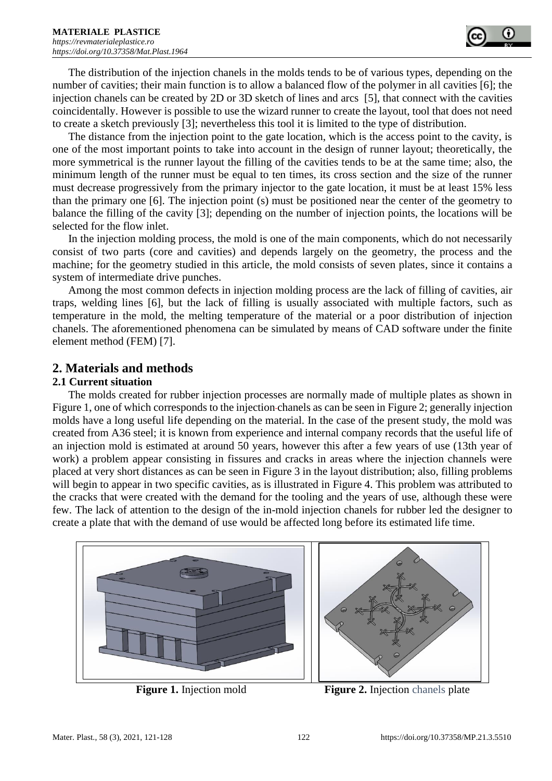The distribution of the injection chanels in the molds tends to be of various types, depending on the number of cavities; their main function is to allow a balanced flow of the polymer in all cavities [6]; the injection chanels can be created by 2D or 3D sketch of lines and arcs [5], that connect with the cavities coincidentally. However is possible to use the wizard runner to create the layout, tool that does not need to create a sketch previously [3]; nevertheless this tool it is limited to the type of distribution.

The distance from the injection point to the gate location, which is the access point to the cavity, is one of the most important points to take into account in the design of runner layout; theoretically, the more symmetrical is the runner layout the filling of the cavities tends to be at the same time; also, the minimum length of the runner must be equal to ten times, its cross section and the size of the runner must decrease progressively from the primary injector to the gate location, it must be at least 15% less than the primary one [6]. The injection point (s) must be positioned near the center of the geometry to balance the filling of the cavity [3]; depending on the number of injection points, the locations will be selected for the flow inlet.

In the injection molding process, the mold is one of the main components, which do not necessarily consist of two parts (core and cavities) and depends largely on the geometry, the process and the machine; for the geometry studied in this article, the mold consists of seven plates, since it contains a system of intermediate drive punches.

Among the most common defects in injection molding process are the lack of filling of cavities, air traps, welding lines [6], but the lack of filling is usually associated with multiple factors, such as temperature in the mold, the melting temperature of the material or a poor distribution of injection chanels. The aforementioned phenomena can be simulated by means of CAD software under the finite element method (FEM) [7].

# **2. Materials and methods**

#### **2.1 Current situation**

The molds created for rubber injection processes are normally made of multiple plates as shown in Figure 1, one of which corresponds to the injection chanels as can be seen in Figure 2; generally injection molds have a long useful life depending on the material. In the case of the present study, the mold was created from A36 steel; it is known from experience and internal company records that the useful life of an injection mold is estimated at around 50 years, however this after a few years of use (13th year of work) a problem appear consisting in fissures and cracks in areas where the injection channels were placed at very short distances as can be seen in Figure 3 in the layout distribution; also, filling problems will begin to appear in two specific cavities, as is illustrated in Figure 4. This problem was attributed to the cracks that were created with the demand for the tooling and the years of use, although these were few. The lack of attention to the design of the in-mold injection chanels for rubber led the designer to create a plate that with the demand of use would be affected long before its estimated life time.



**Figure 1.** Injection mold **Figure 2.** Injection chanels plate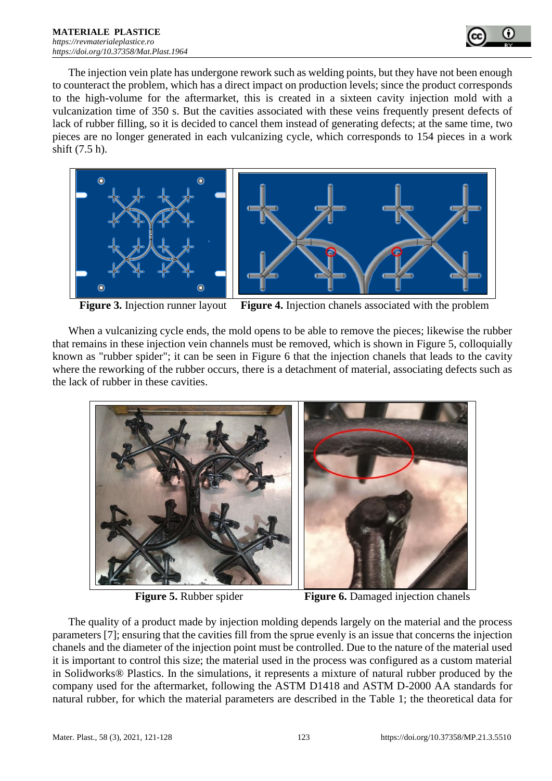

The injection vein plate has undergone rework such as welding points, but they have not been enough to counteract the problem, which has a direct impact on production levels; since the product corresponds to the high-volume for the aftermarket, this is created in a sixteen cavity injection mold with a vulcanization time of 350 s. But the cavities associated with these veins frequently present defects of lack of rubber filling, so it is decided to cancel them instead of generating defects; at the same time, two pieces are no longer generated in each vulcanizing cycle, which corresponds to 154 pieces in a work shift (7.5 h).



**Figure 3.** Injection runner layout **Figure 4.** Injection chanels associated with the problem

When a vulcanizing cycle ends, the mold opens to be able to remove the pieces; likewise the rubber that remains in these injection vein channels must be removed, which is shown in Figure 5, colloquially known as "rubber spider"; it can be seen in Figure 6 that the injection chanels that leads to the cavity where the reworking of the rubber occurs, there is a detachment of material, associating defects such as the lack of rubber in these cavities.



**Figure 5.** Rubber spider **Figure 6.** Damaged injection chanels

The quality of a product made by injection molding depends largely on the material and the process parameters [7]; ensuring that the cavities fill from the sprue evenly is an issue that concerns the injection chanels and the diameter of the injection point must be controlled. Due to the nature of the material used it is important to control this size; the material used in the process was configured as a custom material in Solidworks® Plastics. In the simulations, it represents a mixture of natural rubber produced by the company used for the aftermarket, following the ASTM D1418 and ASTM D-2000 AA standards for natural rubber, for which the material parameters are described in the Table 1; the theoretical data for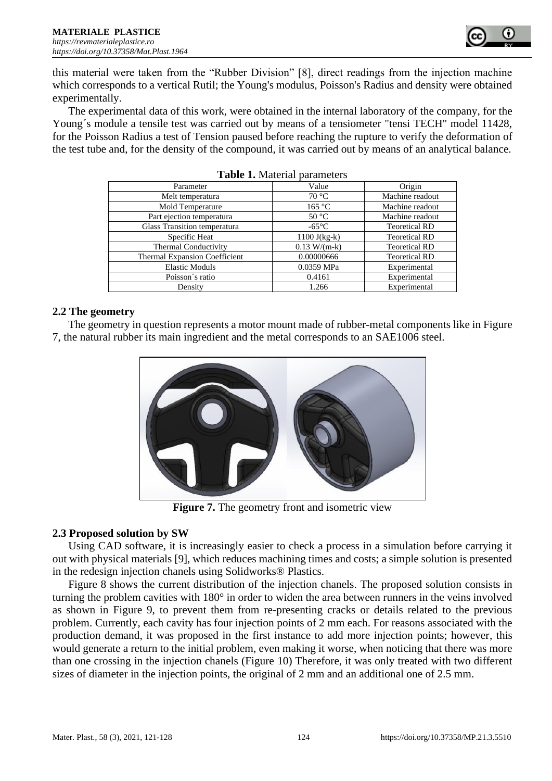

this material were taken from the "Rubber Division" [8], direct readings from the injection machine which corresponds to a vertical Rutil; the Young's modulus, Poisson's Radius and density were obtained experimentally.

The experimental data of this work, were obtained in the internal laboratory of the company, for the Young´s module a tensile test was carried out by means of a tensiometer "tensi TECH" model 11428, for the Poisson Radius a test of Tension paused before reaching the rupture to verify the deformation of the test tube and, for the density of the compound, it was carried out by means of an analytical balance.

| Parameter                            | Value           | Origin               |  |  |  |
|--------------------------------------|-----------------|----------------------|--|--|--|
| Melt temperatura                     | 70 °C           | Machine readout      |  |  |  |
| Mold Temperature                     | 165 °C          | Machine readout      |  |  |  |
| Part ejection temperatura            | $50^{\circ}$ C  | Machine readout      |  |  |  |
| Glass Transition temperatura         | $-65^{\circ}$ C | <b>Teoretical RD</b> |  |  |  |
| Specific Heat                        | $1100$ J(kg-k)  | <b>Teoretical RD</b> |  |  |  |
| <b>Thermal Conductivity</b>          | $0.13 W/(m-k)$  | <b>Teoretical RD</b> |  |  |  |
| <b>Thermal Expansion Coefficient</b> | 0.00000666      | <b>Teoretical RD</b> |  |  |  |
| <b>Elastic Moduls</b>                | 0.0359 MPa      | Experimental         |  |  |  |
| Poisson's ratio                      | 0.4161          | Experimental         |  |  |  |
| Density                              | 1.266           | Experimental         |  |  |  |

|  |  |  | Table 1. Material parameters |
|--|--|--|------------------------------|
|--|--|--|------------------------------|

#### **2.2 The geometry**

The geometry in question represents a motor mount made of rubber-metal components like in Figure 7, the natural rubber its main ingredient and the metal corresponds to an SAE1006 steel.



**Figure 7.** The geometry front and isometric view

#### **2.3 Proposed solution by SW**

Using CAD software, it is increasingly easier to check a process in a simulation before carrying it out with physical materials [9], which reduces machining times and costs; a simple solution is presented in the redesign injection chanels using Solidworks® Plastics.

Figure 8 shows the current distribution of the injection chanels. The proposed solution consists in turning the problem cavities with 180° in order to widen the area between runners in the veins involved as shown in Figure 9, to prevent them from re-presenting cracks or details related to the previous problem. Currently, each cavity has four injection points of 2 mm each. For reasons associated with the production demand, it was proposed in the first instance to add more injection points; however, this would generate a return to the initial problem, even making it worse, when noticing that there was more than one crossing in the injection chanels (Figure 10) Therefore, it was only treated with two different sizes of diameter in the injection points, the original of 2 mm and an additional one of 2.5 mm.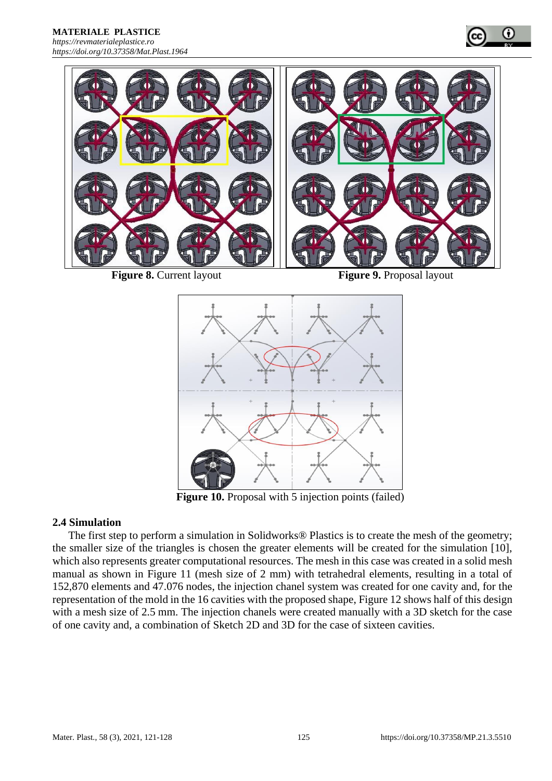



**Figure 8.** Current layout **Figure 9.** Proposal layout



Figure 10. Proposal with 5 injection points (failed)

### **2.4 Simulation**

The first step to perform a simulation in Solidworks® Plastics is to create the mesh of the geometry; the smaller size of the triangles is chosen the greater elements will be created for the simulation [10], which also represents greater computational resources. The mesh in this case was created in a solid mesh manual as shown in Figure 11 (mesh size of 2 mm) with tetrahedral elements, resulting in a total of 152,870 elements and 47.076 nodes, the injection chanel system was created for one cavity and, for the representation of the mold in the 16 cavities with the proposed shape, Figure 12 shows half of this design with a mesh size of 2.5 mm. The injection chanels were created manually with a 3D sketch for the case of one cavity and, a combination of Sketch 2D and 3D for the case of sixteen cavities.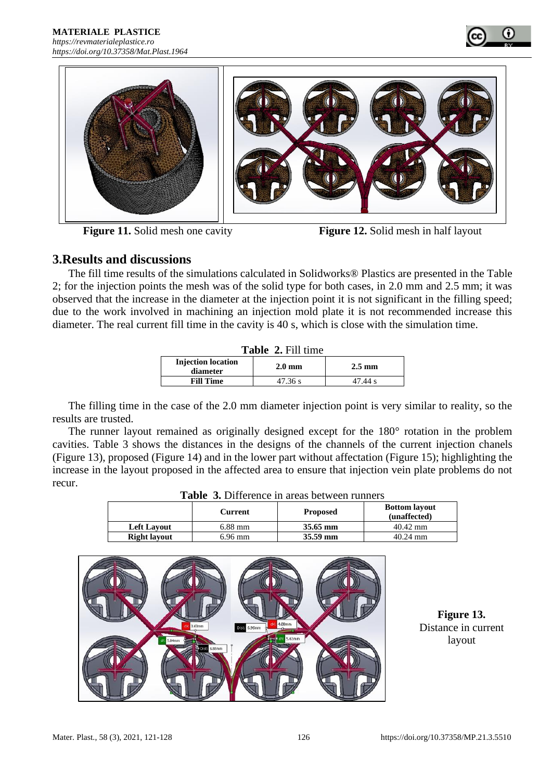



**Figure 11.** Solid mesh one cavity **Figure 12.** Solid mesh in half layout

# **3.Results and discussions**

The fill time results of the simulations calculated in Solidworks® Plastics are presented in the Table 2; for the injection points the mesh was of the solid type for both cases, in 2.0 mm and 2.5 mm; it was observed that the increase in the diameter at the injection point it is not significant in the filling speed; due to the work involved in machining an injection mold plate it is not recommended increase this diameter. The real current fill time in the cavity is 40 s, which is close with the simulation time.

| Table 2. Fill time                    |                  |                  |  |  |  |
|---------------------------------------|------------------|------------------|--|--|--|
| <b>Injection location</b><br>diameter | $2.0 \text{ mm}$ | $2.5 \text{ mm}$ |  |  |  |
| <b>Fill Time</b>                      | 47.36 s          | 47.44 s          |  |  |  |

The filling time in the case of the 2.0 mm diameter injection point is very similar to reality, so the results are trusted.

The runner layout remained as originally designed except for the 180° rotation in the problem cavities. Table 3 shows the distances in the designs of the channels of the current injection chanels (Figure 13), proposed (Figure 14) and in the lower part without affectation (Figure 15); highlighting the increase in the layout proposed in the affected area to ensure that injection vein plate problems do not recur. **Table 3. Difference in a set in a set in a set in a set in a set in a set in a set in a set in a set in a set** 

| <b>Table 3.</b> Difference in areas between runners |           |                 |                                      |  |  |
|-----------------------------------------------------|-----------|-----------------|--------------------------------------|--|--|
|                                                     | Current   | <b>Proposed</b> | <b>Bottom layout</b><br>(unaffected) |  |  |
| <b>Left Lavout</b>                                  | $6.88$ mm | 35.65 mm        | $40.42$ mm                           |  |  |
| <b>Right layout</b>                                 | $6.96$ mm | 35.59 mm        | $40.24$ mm                           |  |  |



**Figure 13.**  Distance in current layout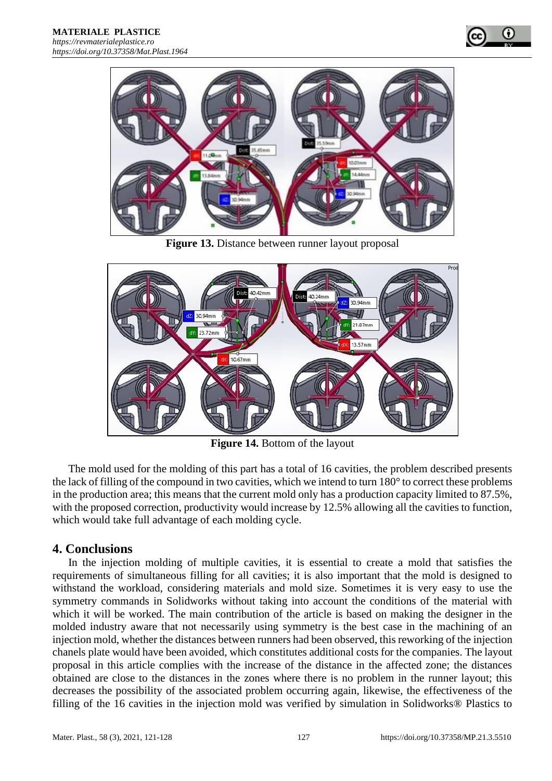



**Figure 13.** Distance between runner layout proposal



**Figure 14.** Bottom of the layout

The mold used for the molding of this part has a total of 16 cavities, the problem described presents the lack of filling of the compound in two cavities, which we intend to turn 180° to correct these problems in the production area; this means that the current mold only has a production capacity limited to 87.5%, with the proposed correction, productivity would increase by 12.5% allowing all the cavities to function, which would take full advantage of each molding cycle.

# **4. Conclusions**

In the injection molding of multiple cavities, it is essential to create a mold that satisfies the requirements of simultaneous filling for all cavities; it is also important that the mold is designed to withstand the workload, considering materials and mold size. Sometimes it is very easy to use the symmetry commands in Solidworks without taking into account the conditions of the material with which it will be worked. The main contribution of the article is based on making the designer in the molded industry aware that not necessarily using symmetry is the best case in the machining of an injection mold, whether the distances between runners had been observed, this reworking of the injection chanels plate would have been avoided, which constitutes additional costs for the companies. The layout proposal in this article complies with the increase of the distance in the affected zone; the distances obtained are close to the distances in the zones where there is no problem in the runner layout; this decreases the possibility of the associated problem occurring again, likewise, the effectiveness of the filling of the 16 cavities in the injection mold was verified by simulation in Solidworks® Plastics to